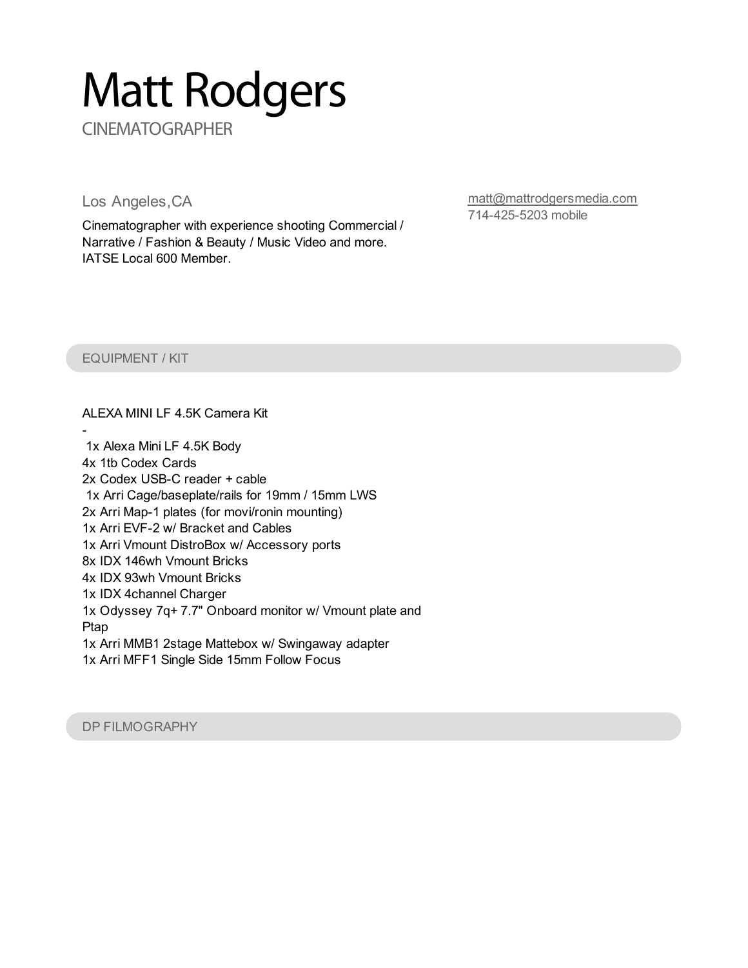# Matt Rodgers

**CINEMATOGRAPHER** 

Los Angeles,CA

Cinematographer with experience shooting Commercial / Narrative / Fashion & Beauty / Music Video and more. IATSE Local 600 Member.

[matt@mattrodgersmedia.com](mailto:matt@mattrodgersmedia.com) 714-425-5203 mobile

#### EQUIPMENT / KIT

ALEXA MINI LF 4.5K Camera Kit

- 1x Alexa Mini LF 4.5K Body 4x 1tb Codex Cards 2x Codex USB-C reader + cable 1x Arri Cage/baseplate/rails for 19mm / 15mm LWS 2x Arri Map-1 plates (for movi/ronin mounting) 1x Arri EVF-2 w/ Bracket and Cables 1x Arri Vmount DistroBox w/ Accessory ports 8x IDX 146wh Vmount Bricks 4x IDX 93wh Vmount Bricks 1x IDX 4channel Charger 1x Odyssey 7q+ 7.7" Onboard monitor w/ Vmount plate and Ptap 1x Arri MMB1 2stage Mattebox w/ Swingaway adapter 1x Arri MFF1 Single Side 15mm Follow Focus

DP FILMOGRAPHY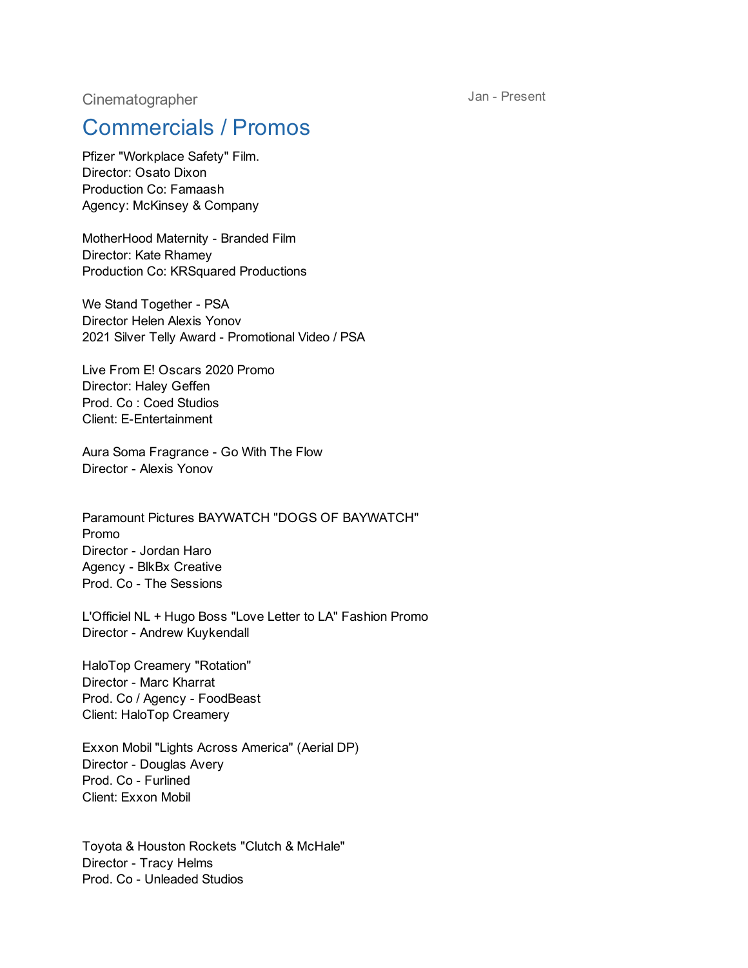**Cinematographer** 

Jan - Present

## Commercials / Promos

Pfizer "Workplace Safety" Film. Director: Osato Dixon Production Co: Famaash Agency: McKinsey & Company

MotherHood Maternity - Branded Film Director: Kate Rhamey Production Co: KRSquared Productions

We Stand Together - PSA Director Helen Alexis Yonov 2021 Silver Telly Award - Promotional Video / PSA

Live From E! Oscars 2020 Promo Director: Haley Geffen Prod. Co : Coed Studios Client: E-Entertainment

Aura Soma Fragrance - Go With The Flow Director - Alexis Yonov

Paramount Pictures BAYWATCH "DOGS OF BAYWATCH" Promo Director - Jordan Haro Agency - BlkBx Creative Prod. Co - The Sessions

L'Officiel NL + Hugo Boss "Love Letter to LA" Fashion Promo Director - Andrew Kuykendall

HaloTop Creamery "Rotation" Director - Marc Kharrat Prod. Co / Agency - FoodBeast Client: HaloTop Creamery

Exxon Mobil "Lights Across America" (Aerial DP) Director - Douglas Avery Prod. Co - Furlined Client: Exxon Mobil

Toyota & Houston Rockets "Clutch & McHale" Director - Tracy Helms Prod. Co - Unleaded Studios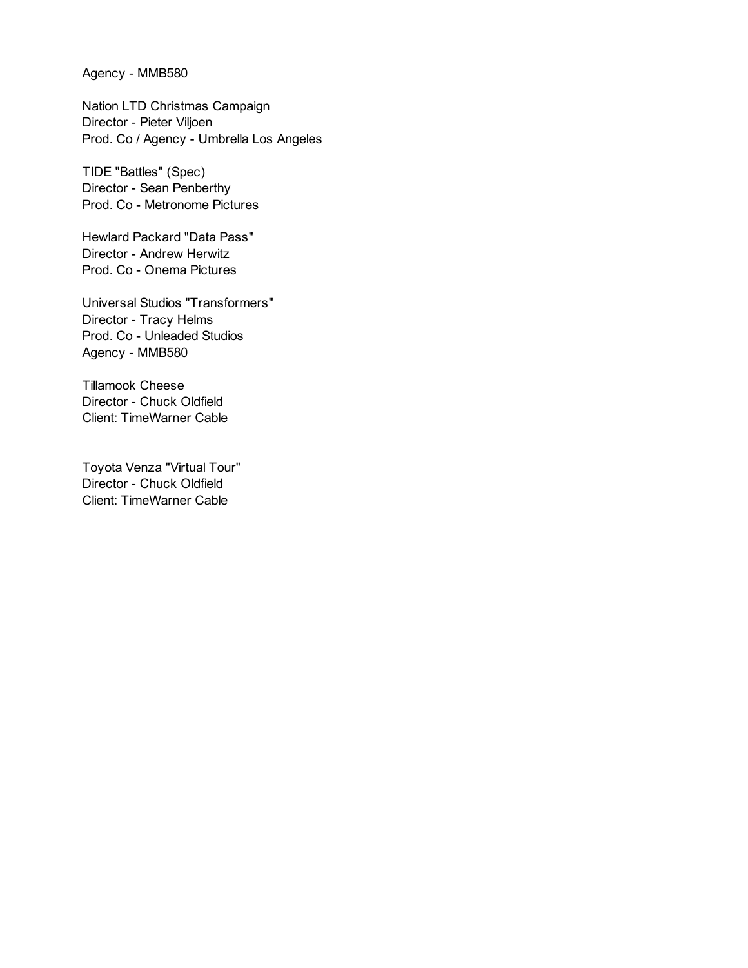Agency - MMB580

Nation LTD Christmas Campaign Director - Pieter Viljoen Prod. Co / Agency - Umbrella Los Angeles

TIDE "Battles" (Spec) Director - Sean Penberthy Prod. Co - Metronome Pictures

Hewlard Packard "Data Pass" Director - Andrew Herwitz Prod. Co - Onema Pictures

Universal Studios "Transformers" Director - Tracy Helms Prod. Co - Unleaded Studios Agency - MMB580

Tillamook Cheese Director - Chuck Oldfield Client: TimeWarner Cable

Toyota Venza "Virtual Tour" Director - Chuck Oldfield Client: TimeWarner Cable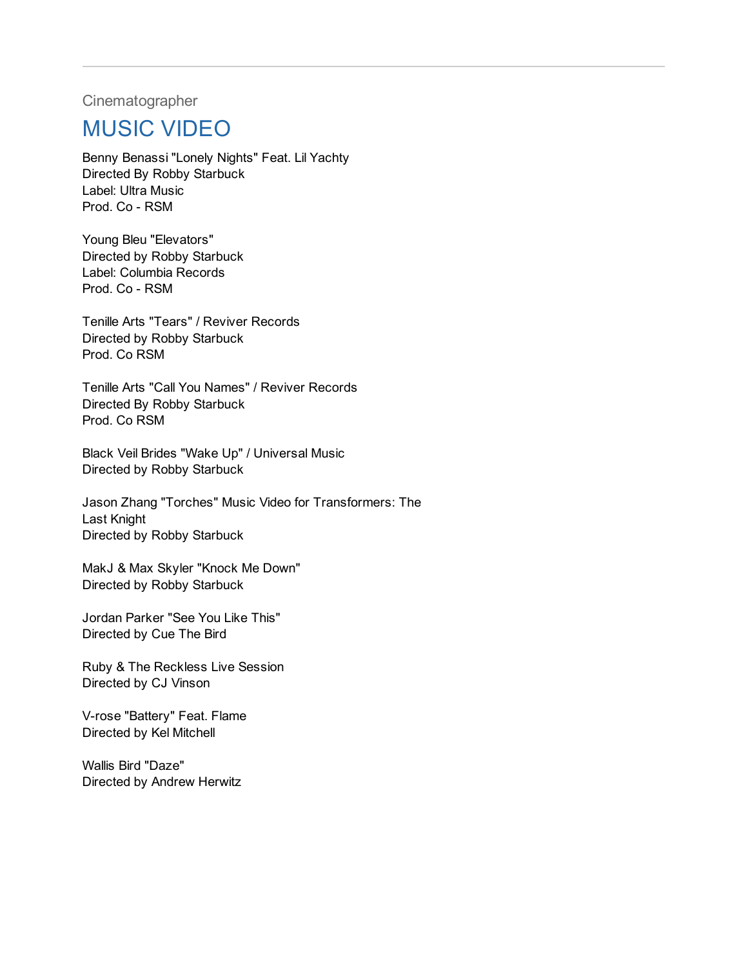**Cinematographer** 

### MUSIC VIDEO

Benny Benassi "Lonely Nights" Feat. Lil Yachty Directed By Robby Starbuck Label: Ultra Music Prod. Co - RSM

Young Bleu "Elevators" Directed by Robby Starbuck Label: Columbia Records Prod. Co - RSM

Tenille Arts "Tears" / Reviver Records Directed by Robby Starbuck Prod. Co RSM

Tenille Arts "Call You Names" / Reviver Records Directed By Robby Starbuck Prod. Co RSM

Black Veil Brides "Wake Up" / Universal Music Directed by Robby Starbuck

Jason Zhang "Torches" Music Video for Transformers: The Last Knight Directed by Robby Starbuck

MakJ & Max Skyler "Knock Me Down" Directed by Robby Starbuck

Jordan Parker "See You Like This" Directed by Cue The Bird

Ruby & The Reckless Live Session Directed by CJ Vinson

V-rose "Battery" Feat. Flame Directed by Kel Mitchell

Wallis Bird "Daze" Directed by Andrew Herwitz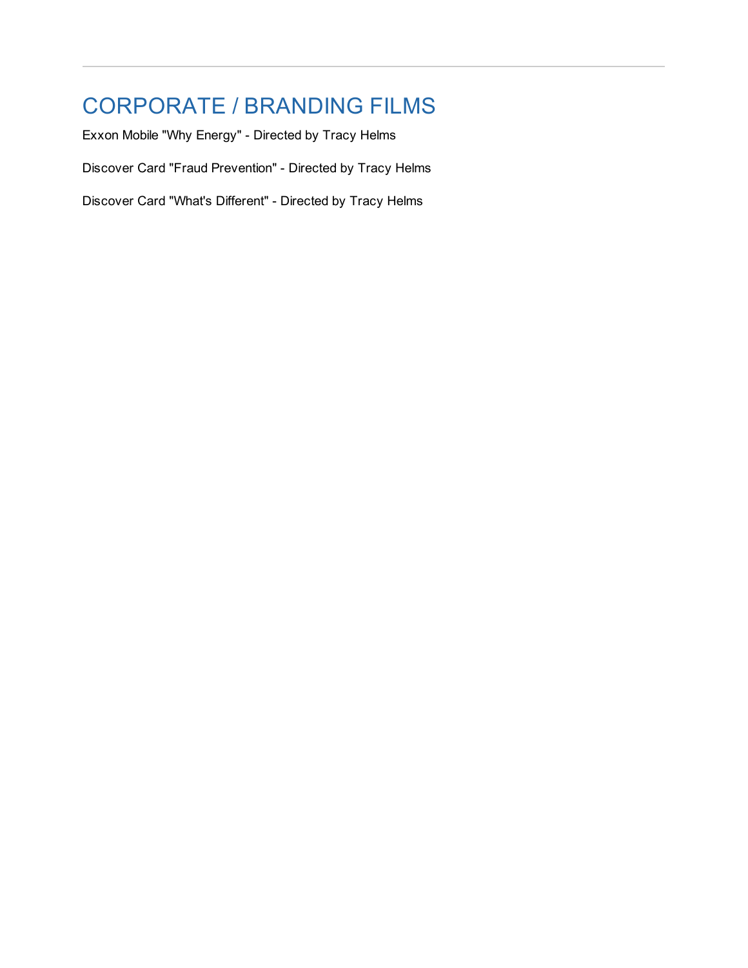# CORPORATE / BRANDING FILMS

Exxon Mobile "Why Energy" - Directed by Tracy Helms Discover Card "Fraud Prevention" - Directed by Tracy Helms Discover Card "What's Different" - Directed by Tracy Helms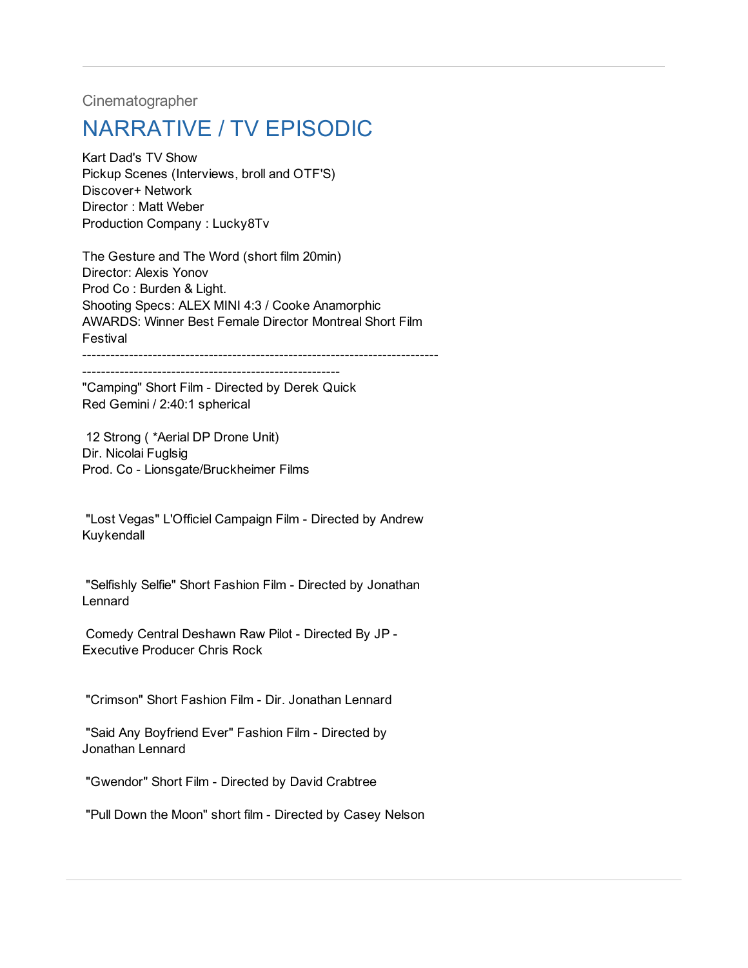**Cinematographer** 

# NARRATIVE / TV EPISODIC

Kart Dad's TV Show Pickup Scenes (Interviews, broll and OTF'S) Discover+ Network Director : Matt Weber Production Company : Lucky8Tv

The Gesture and The Word (short film 20min) Director: Alexis Yonov Prod Co : Burden & Light. Shooting Specs: ALEX MINI 4:3 / Cooke Anamorphic AWARDS: Winner Best Female Director Montreal Short Film Festival ----------------------------------------------------------------------------

-------------------------------------------------------

"Camping" Short Film - Directed by Derek Quick Red Gemini / 2:40:1 spherical

12 Strong ( \*Aerial DP Drone Unit) Dir. Nicolai Fuglsig Prod. Co - Lionsgate/Bruckheimer Films

"Lost Vegas" L'Officiel Campaign Film - Directed by Andrew Kuykendall

"Selfishly Selfie" Short Fashion Film - Directed by Jonathan Lennard

Comedy Central Deshawn Raw Pilot - Directed By JP - Executive Producer Chris Rock

"Crimson" Short Fashion Film - Dir. Jonathan Lennard

"Said Any Boyfriend Ever" Fashion Film - Directed by Jonathan Lennard

"Gwendor" Short Film - Directed by David Crabtree

"Pull Down the Moon" short film - Directed by Casey Nelson